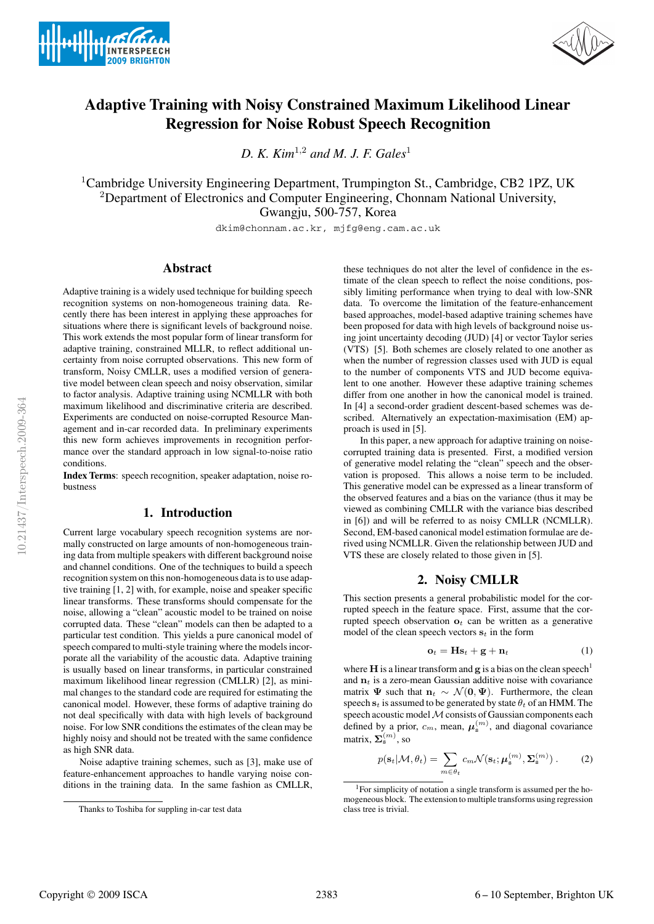



# **Adaptive Training with Noisy Constrained Maximum Likelihood Linear Regression for Noise Robust Speech Recognition**

*D. K. Kim*<sup>1</sup>,<sup>2</sup> *and M. J. F. Gales*<sup>1</sup>

<sup>1</sup>Cambridge University Engineering Department, Trumpington St., Cambridge, CB2 1PZ, UK <sup>2</sup>Department of Electronics and Computer Engineering, Chonnam National University, Gwangju, 500-757, Korea

dkim@chonnam.ac.kr, mjfg@eng.cam.ac.uk

# **Abstract**

Adaptive training is a widely used technique for building speech recognition systems on non-homogeneous training data. Recently there has been interest in applying these approaches for situations where there is significant levels of background noise. This work extends the most popular form of linear transform for adaptive training, constrained MLLR, to reflect additional uncertainty from noise corrupted observations. This new form of transform, Noisy CMLLR, uses a modified version of generative model between clean speech and noisy observation, similar to factor analysis. Adaptive training using NCMLLR with both maximum likelihood and discriminative criteria are described. Experiments are conducted on noise-corrupted Resource Management and in-car recorded data. In preliminary experiments this new form achieves improvements in recognition performance over the standard approach in low signal-to-noise ratio conditions.

**Index Terms**: speech recognition, speaker adaptation, noise robustness

## **1. Introduction**

Current large vocabulary speech recognition systems are normally constructed on large amounts of non-homogeneous training data from multiple speakers with different background noise and channel conditions. One of the techniques to build a speech recognition system on this non-homogeneous data is to use adaptive training [1, 2] with, for example, noise and speaker specific linear transforms. These transforms should compensate for the noise, allowing a "clean" acoustic model to be trained on noise corrupted data. These "clean" models can then be adapted to a particular test condition. This yields a pure canonical model of speech compared to multi-style training where the models incorporate all the variability of the acoustic data. Adaptive training is usually based on linear transforms, in particular constrained maximum likelihood linear regression (CMLLR) [2], as minimal changes to the standard code are required for estimating the canonical model. However, these forms of adaptive training do not deal specifically with data with high levels of background noise. For low SNR conditions the estimates of the clean may be highly noisy and should not be treated with the same confidence as high SNR data.

Noise adaptive training schemes, such as [3], make use of feature-enhancement approaches to handle varying noise conditions in the training data. In the same fashion as CMLLR, these techniques do not alter the level of confidence in the estimate of the clean speech to reflect the noise conditions, possibly limiting performance when trying to deal with low-SNR data. To overcome the limitation of the feature-enhancement based approaches, model-based adaptive training schemes have been proposed for data with high levels of background noise using joint uncertainty decoding (JUD) [4] or vector Taylor series (VTS) [5]. Both schemes are closely related to one another as when the number of regression classes used with JUD is equal to the number of components VTS and JUD become equivalent to one another. However these adaptive training schemes differ from one another in how the canonical model is trained. In [4] a second-order gradient descent-based schemes was described. Alternatively an expectation-maximisation (EM) approach is used in [5].

In this paper, a new approach for adaptive training on noisecorrupted training data is presented. First, a modified version of generative model relating the "clean" speech and the observation is proposed. This allows a noise term to be included. This generative model can be expressed as a linear transform of the observed features and a bias on the variance (thus it may be viewed as combining CMLLR with the variance bias described in [6]) and will be referred to as noisy CMLLR (NCMLLR). Second, EM-based canonical model estimation formulae are derived using NCMLLR. Given the relationship between JUD and VTS these are closely related to those given in [5].

## **2. Noisy CMLLR**

This section presents a general probabilistic model for the corrupted speech in the feature space. First, assume that the corrupted speech observation  $\mathbf{o}_t$  can be written as a generative model of the clean speech vectors  $s_t$  in the form

$$
\mathbf{o}_t = \mathbf{H}\mathbf{s}_t + \mathbf{g} + \mathbf{n}_t \tag{1}
$$

where **H** is a linear transform and **g** is a bias on the clean speech<sup>1</sup> and  $n_t$  is a zero-mean Gaussian additive noise with covariance matrix  $\Psi$  such that  $n_t \sim \mathcal{N}(0, \Psi)$ . Furthermore, the clean speech  $s_t$  is assumed to be generated by state  $\theta_t$  of an HMM. The speech acoustic model  $M$  consists of Gaussian components each defined by a prior,  $c_m$ , mean,  $\boldsymbol{\mu}_s^{(m)}$ , and diagonal covariance matrix,  $\Sigma_{\rm s}^{(m)}$ , so

$$
p(\mathbf{s}_t|\mathcal{M}, \theta_t) = \sum_{m \in \theta_t} c_m \mathcal{N}(\mathbf{s}_t; \boldsymbol{\mu}_\mathbf{s}^{(m)}, \boldsymbol{\Sigma}_\mathbf{s}^{(m)}) .
$$
 (2)

Thanks to Toshiba for suppling in-car test data

<sup>1</sup>For simplicity of notation a single transform is assumed per the homogeneous block. The extension to multiple transforms using regression class tree is trivial.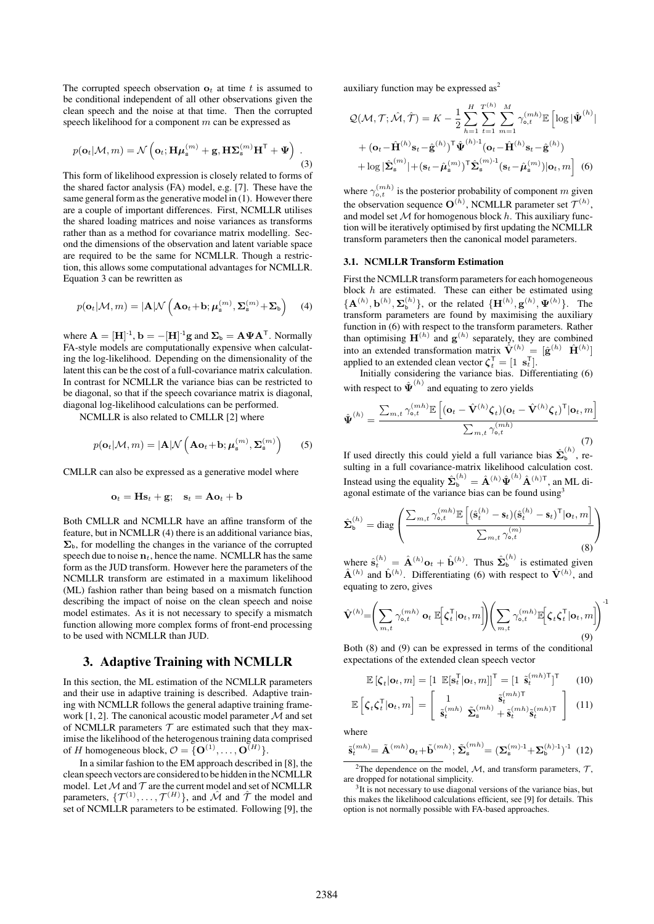The corrupted speech observation  $\mathbf{o}_t$  at time t is assumed to be conditional independent of all other observations given the clean speech and the noise at that time. Then the corrupted speech likelihood for a component  $m$  can be expressed as

$$
p(\mathbf{o}_t|\mathcal{M}, m) = \mathcal{N}\left(\mathbf{o}_t; \mathbf{H}\boldsymbol{\mu}_s^{(m)} + \mathbf{g}, \mathbf{H}\boldsymbol{\Sigma}_s^{(m)}\mathbf{H}^\mathsf{T} + \boldsymbol{\Psi}\right).
$$
\n(3)

This form of likelihood expression is closely related to forms of the shared factor analysis (FA) model, e.g. [7]. These have the same general form as the generative model in (1). However there are a couple of important differences. First, NCMLLR utilises the shared loading matrices and noise variances as transforms rather than as a method for covariance matrix modelling. Second the dimensions of the observation and latent variable space are required to be the same for NCMLLR. Though a restriction, this allows some computational advantages for NCMLLR. Equation 3 can be rewritten as

$$
p(\mathbf{o}_t|\mathcal{M}, m) = |\mathbf{A}|\mathcal{N}\left(\mathbf{A}\mathbf{o}_t + \mathbf{b}; \boldsymbol{\mu}_\mathbf{s}^{(m)}, \boldsymbol{\Sigma}_\mathbf{s}^{(m)} + \boldsymbol{\Sigma}_\mathbf{b}\right) \quad (4)
$$

where  $\mathbf{A} = [\mathbf{H}]^{-1}$ ,  $\mathbf{b} = -[\mathbf{H}]^{-1}\mathbf{g}$  and  $\mathbf{\Sigma}_{\mathbf{b}} = \mathbf{A}\mathbf{\Psi}\mathbf{A}^{\mathsf{T}}$ . Normally FA-style models are computationally expensive when calculating the log-likelihood. Depending on the dimensionality of the latent this can be the cost of a full-covariance matrix calculation. In contrast for NCMLLR the variance bias can be restricted to be diagonal, so that if the speech covariance matrix is diagonal, diagonal log-likelihood calculations can be performed.

NCMLLR is also related to CMLLR [2] where

$$
p(\mathbf{o}_t|\mathcal{M}, m) = |\mathbf{A}|\mathcal{N}\left(\mathbf{A}\mathbf{o}_t + \mathbf{b}; \boldsymbol{\mu}_\mathbf{s}^{(m)}, \boldsymbol{\Sigma}_\mathbf{s}^{(m)}\right) \qquad (5)
$$

CMLLR can also be expressed as a generative model where

$$
\mathbf{o}_t = \mathbf{H}\mathbf{s}_t + \mathbf{g}; \quad \mathbf{s}_t = \mathbf{A}\mathbf{o}_t + \mathbf{b}
$$

Both CMLLR and NCMLLR have an affine transform of the feature, but in NCMLLR (4) there is an additional variance bias,  $\Sigma_{\rm b}$ , for modelling the changes in the variance of the corrupted speech due to noise  $n_t$ , hence the name. NCMLLR has the same form as the JUD transform. However here the parameters of the NCMLLR transform are estimated in a maximum likelihood (ML) fashion rather than being based on a mismatch function describing the impact of noise on the clean speech and noise model estimates. As it is not necessary to specify a mismatch function allowing more complex forms of front-end processing to be used with NCMLLR than JUD.

## **3. Adaptive Training with NCMLLR**

In this section, the ML estimation of the NCMLLR parameters and their use in adaptive training is described. Adaptive training with NCMLLR follows the general adaptive training framework [1, 2]. The canonical acoustic model parameter  $\mathcal M$  and set of NCMLLR parameters  $T$  are estimated such that they maximise the likelihood of the heterogenous training data comprised of *H* homogeneous block,  $\mathcal{O} = {\{O^{(1)}, \ldots, O^{(H)}\}}.$ 

In a similar fashion to the EM approach described in [8], the clean speech vectors are considered to be hidden in the NCMLLR model. Let  $M$  and  $T$  are the current model and set of NCMLLR parameters,  $\{\mathcal{T}^{(1)}, \dots, \mathcal{T}^{(H)}\}$ , and  $\hat{\mathcal{M}}$  and  $\hat{\mathcal{T}}$  the model and set of NCMLLR parameters to be estimated. Following [9], the auxiliary function may be expressed  $as<sup>2</sup>$ 

$$
Q(\mathcal{M}, \mathcal{T}; \hat{\mathcal{M}}, \hat{\mathcal{T}}) = K - \frac{1}{2} \sum_{h=1}^{H} \sum_{t=1}^{\tau^{(h)}} \sum_{m=1}^{M} \gamma_{\mathsf{o},t}^{(mh)} \mathbb{E} \left[ \log |\hat{\mathbf{\Psi}}^{(h)}| \right] + (\mathbf{o}_t - \hat{\mathbf{H}}^{(h)} \mathbf{s}_t - \hat{\mathbf{g}}^{(h)})^{\mathsf{T}} \hat{\mathbf{\Psi}}^{(h)\text{-}1} (\mathbf{o}_t - \hat{\mathbf{H}}^{(h)} \mathbf{s}_t - \hat{\mathbf{g}}^{(h)}) + \log |\hat{\mathbf{\Sigma}}_{\mathsf{s}}^{(m)}| + (\mathbf{s}_t - \hat{\boldsymbol{\mu}}_{\mathsf{s}}^{(m)})^{\mathsf{T}} \hat{\mathbf{\Sigma}}_{\mathsf{s}}^{(m)\text{-}1} (\mathbf{s}_t - \hat{\boldsymbol{\mu}}_{\mathsf{s}}^{(m)}) |\mathbf{o}_t, m \right] (6)
$$

where  $\gamma_{o,t}^{(mh)}$  is the posterior probability of component m given the observation sequence  $O^{(h)}$ , NCMLLR parameter set  $\mathcal{T}^{(h)}$ , and model set  $M$  for homogenous block  $h$ . This auxiliary function will be iteratively optimised by first updating the NCMLLR transform parameters then the canonical model parameters.

#### **3.1. NCMLLR Transform Estimation**

First the NCMLLR transform parameters for each homogeneous block  $h$  are estimated. These can either be estimated using  $\{ \mathbf{A}^{(h)}, \mathbf{b}^{(h)}, \mathbf{\Sigma}_{\mathsf{b}}^{(h)} \}$ , or the related  $\{ \mathbf{H}^{(h)}, \mathbf{g}^{(h)}, \mathbf{\Psi}^{(h)} \}$ . The transform parameters are found by maximising the auxiliary function in (6) with respect to the transform parameters. Rather than optimising  $\mathbf{H}^{(h)}$  and  $\mathbf{g}^{(h)}$  separately, they are combined into an extended transformation matrix  $\hat{\mathbf{V}}^{(h)} = [\hat{\mathbf{g}}^{(h)} \ \hat{\mathbf{H}}^{(h)}]$ applied to an extended clean vector  $\boldsymbol{\zeta}_t^{\mathsf{T}} = [1 \ \mathbf{s}_t^{\mathsf{T}}].$ 

Initially considering the variance bias. Differentiating (6) with respect to  $\hat{\Psi}^{(h)}$  and equating to zero yields

$$
\hat{\Psi}^{(h)} = \frac{\sum_{m,t} \gamma_{\mathsf{o},t}^{(mh)} \mathbb{E}\left[ (\mathbf{o}_t - \hat{\mathbf{V}}^{(h)} \boldsymbol{\zeta}_t)(\mathbf{o}_t - \hat{\mathbf{V}}^{(h)} \boldsymbol{\zeta}_t)^{\mathsf{T}} | \mathbf{o}_t, m \right]}{\sum_{m,t} \gamma_{\mathsf{o},t}^{(mh)}}
$$
(7)

If used directly this could yield a full variance bias  $\hat{\Sigma}_{b}^{(h)}$ , resulting in a full covariance-matrix likelihood calculation cost. Instead using the equality  $\hat{\Sigma}_{b}^{(h)} = \hat{A}^{(h)} \hat{\Psi}^{(h)} \hat{A}^{(h)\mathsf{T}}$ , an ML diagonal estimate of the variance bias can be found using<sup>3</sup>

$$
\hat{\mathbf{\Sigma}}_{\mathbf{b}}^{(h)} = \text{diag}\left(\frac{\sum_{m,t} \gamma_{\mathbf{o},t}^{(mh)} \mathbb{E}\left[(\hat{\mathbf{s}}_t^{(h)} - \mathbf{s}_t)(\hat{\mathbf{s}}_t^{(h)} - \mathbf{s}_t)^{\mathsf{T}} | \mathbf{o}_t, m\right]}{\sum_{m,t} \gamma_{\mathbf{o},t}^{(m)}}\right)
$$
(8)

where  $\hat{\mathbf{s}}_t^{(h)} = \hat{\mathbf{A}}^{(h)} \mathbf{o}_t + \hat{\mathbf{b}}^{(h)}$ . Thus  $\hat{\mathbf{\Sigma}}_b^{(h)}$  is estimated given  $\hat{\mathbf{A}}^{(h)}$  and  $\hat{\mathbf{b}}^{(h)}$ . Differentiating (6) with respect to  $\hat{\mathbf{V}}^{(h)}$ , and equating to zero, gives

$$
\hat{\mathbf{V}}^{(h)} = \left(\sum_{m,t} \gamma_{\mathbf{o},t}^{(mh)} \mathbf{o}_t \ \mathbb{E}\Big[\zeta_t^{\mathsf{T}}|\mathbf{o}_t,m\Big]\right) \left(\sum_{m,t} \gamma_{\mathbf{o},t}^{(mh)} \mathbb{E}\Big[\zeta_t \zeta_t^{\mathsf{T}}|\mathbf{o}_t,m\Big]\right)^{-1}
$$
\n(9)

Both (8) and (9) can be expressed in terms of the conditional expectations of the extended clean speech vector

$$
\mathbb{E}\left[\zeta_t|\mathbf{o}_t,m\right] = \begin{bmatrix} 1 & \mathbb{E}[\mathbf{s}_t^{\mathsf{T}}|\mathbf{o}_t,m] \end{bmatrix}^{\mathsf{T}} = \begin{bmatrix} 1 & \tilde{\mathbf{s}}_t^{(mh)\mathsf{T}} \end{bmatrix}^{\mathsf{T}} \tag{10}
$$

$$
\mathbb{E}\left[\zeta_t\zeta_t^{\mathsf{T}}|\mathbf{o}_t,m\right] = \left[\begin{array}{cc} 1 & \tilde{\mathbf{s}}_t^{(mh)\mathsf{T}} \\ \tilde{\mathbf{s}}_t^{(mh)} & \tilde{\boldsymbol{\Sigma}}_s^{(mh)} + \tilde{\mathbf{s}}_t^{(mh)}\tilde{\mathbf{s}}_t^{(mh)\mathsf{T}} \end{array}\right] (11)
$$

where

$$
\tilde{\mathbf{s}}_t^{(mh)} = \tilde{\mathbf{A}}^{(mh)} \mathbf{o}_t + \tilde{\mathbf{b}}^{(mh)}; \tilde{\boldsymbol{\Sigma}}_s^{(mh)} = (\boldsymbol{\Sigma}_s^{(m)\text{-}1} + \boldsymbol{\Sigma}_b^{(h)\text{-}1})^{\text{-}1} \tag{12}
$$

<sup>2</sup>The dependence on the model,  $M$ , and transform parameters,  $T$ , are dropped for notational simplicity.

<sup>3</sup>It is not necessary to use diagonal versions of the variance bias, but this makes the likelihood calculations efficient, see [9] for details. This option is not normally possible with FA-based approaches.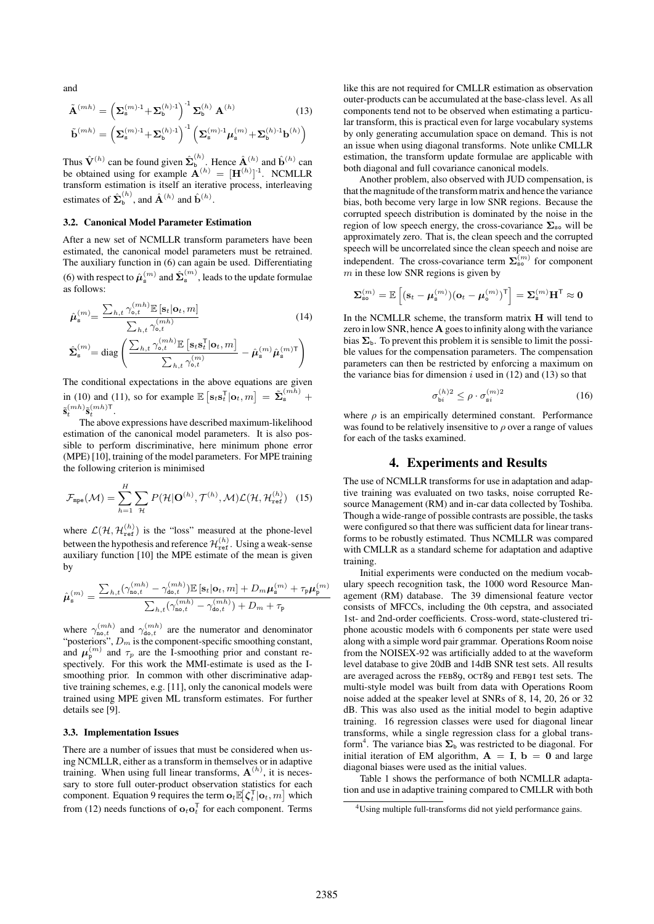and

$$
\tilde{\mathbf{A}}^{(mh)} = \left(\Sigma_{\mathbf{s}}^{(m) \cdot 1} + \Sigma_{\mathbf{b}}^{(h) \cdot 1}\right)^{-1} \Sigma_{\mathbf{b}}^{(h)} \mathbf{A}^{(h)} \tag{13}
$$
\n
$$
\tilde{\mathbf{b}}^{(mh)} = \left(\Sigma_{\mathbf{s}}^{(m) \cdot 1} + \Sigma_{\mathbf{b}}^{(h) \cdot 1}\right)^{-1} \left(\Sigma_{\mathbf{s}}^{(m) \cdot 1} \mu_{\mathbf{s}}^{(m)} + \Sigma_{\mathbf{b}}^{(h) \cdot 1} \mathbf{b}^{(h)}\right)
$$

Thus  $\hat{\mathbf{V}}^{(h)}$  can be found given  $\hat{\mathbf{\Sigma}}_{\mathbf{b}}^{(h)}$ . Hence  $\hat{\mathbf{A}}^{(h)}$  and  $\hat{\mathbf{b}}^{(h)}$  can be obtained using for example  $\mathbf{A}^{(h)} = [\mathbf{H}^{(h)}]^{-1}$ . NCMLLR transform estimation is itself an iterative process, interleaving estimates of  $\hat{\Sigma}_{\mathsf{b}}^{(h)}$ , and  $\hat{\mathbf{A}}^{(h)}$  and  $\hat{\mathbf{b}}^{(h)}$ .

#### **3.2. Canonical Model Parameter Estimation**

After a new set of NCMLLR transform parameters have been estimated, the canonical model parameters must be retrained. The auxiliary function in (6) can again be used. Differentiating (6) with respect to  $\hat{\boldsymbol{\mu}}_{{\rm s}}^{(m)}$  and  $\hat{\boldsymbol{\Sigma}}_{{\rm s}}^{(m)},$  leads to the update formulae as follows:

$$
\hat{\boldsymbol{\mu}}_{\mathbf{s}}^{(m)} = \frac{\sum_{h,t} \gamma_{\mathbf{o},t}^{(mh)} \mathbb{E}\left[\mathbf{s}_t | \mathbf{o}_t, m\right]}{\sum_{h,t} \gamma_{\mathbf{o},t}^{(mh)}} \tag{14}
$$
\n
$$
\hat{\boldsymbol{\Sigma}}_{\mathbf{s}}^{(m)} = \text{diag}\left(\frac{\sum_{h,t} \gamma_{\mathbf{o},t}^{(mh)} \mathbb{E}\left[\mathbf{s}_t \mathbf{s}_t^{\mathsf{T}} | \mathbf{o}_t, m\right]}{\sum_{h,t} \gamma_{\mathbf{o},t}^{(m)}} - \hat{\boldsymbol{\mu}}_{\mathbf{s}}^{(m)} \hat{\boldsymbol{\mu}}_{\mathbf{s}}^{(m)}\right)
$$

The conditional expectations in the above equations are given in (10) and (11), so for example  $\mathbb{E}\left[\mathbf{s}_t \mathbf{s}_t^{\mathsf{T}} | \mathbf{o}_t, m\right] = \tilde{\boldsymbol{\Sigma}}_{\mathbf{s}}^{(mh)} + \cdots$  $\tilde{\mathbf{s}}_t^{(mh)}\tilde{\mathbf{s}}_t^{(mh)\mathsf{T}}.$ 

The above expressions have described maximum-likelihood estimation of the canonical model parameters. It is also possible to perform discriminative, here minimum phone error (MPE) [10], training of the model parameters. For MPE training the following criterion is minimised

$$
\mathcal{F}_{\text{mpe}}(\mathcal{M}) = \sum_{h=1}^{H} \sum_{\mathcal{H}} P(\mathcal{H}|\mathbf{O}^{(h)}, \mathcal{T}^{(h)}, \mathcal{M}) \mathcal{L}(\mathcal{H}, \mathcal{H}_{\text{ref}}^{(h)}) \quad (15)
$$

where  $\mathcal{L}(\mathcal{H}, \mathcal{H}_{ref}^{(h)})$  is the "loss" measured at the phone-level between the hypothesis and reference  $\mathcal{H}_{\text{ref}}^{(h)}$ . Using a weak-sense auxiliary function [10] the MPE estimate of the mean is given by

$$
\hat{\pmb{\mu}}^{(m)}_{\mathbf{s}} = \frac{\sum_{h,t}(\gamma_{\mathtt{no},t}^{(mh)} - \gamma_{\mathtt{do},t}^{(mh)})\mathbb{E}\left[\mathbf{s}_t|\mathbf{o}_t,m\right] + D_m\pmb{\mu}_{\mathbf{s}}^{(m)} + \tau_{\mathtt{p}}\pmb{\mu}_{\mathtt{p}}^{(m)}}{\sum_{h,t}(\gamma_{\mathtt{no},t}^{(mh)} - \gamma_{\mathtt{do},t}^{(mh)}) + D_m + \tau_{\mathtt{p}}}
$$

where  $\gamma_{\text{no},t}^{(mh)}$  and  $\gamma_{\text{do},t}^{(mh)}$  are the numerator and denominator "posteriors",  $D_m$  is the component-specific smoothing constant, and  $\mu_{\rm p}^{(m)}$  and  $\tau_p$  are the I-smoothing prior and constant respectively. For this work the MMI-estimate is used as the Ismoothing prior. In common with other discriminative adaptive training schemes, e.g. [11], only the canonical models were trained using MPE given ML transform estimates. For further details see [9].

#### **3.3. Implementation Issues**

There are a number of issues that must be considered when using NCMLLR, either as a transform in themselves or in adaptive training. When using full linear transforms,  $A^{(h)}$ , it is necessary to store full outer-product observation statistics for each component. Equation 9 requires the term  $\mathbf{o}_t \mathbb{E}[\zeta_t^\mathsf{T} | \mathbf{o}_t, m]$  which from (12) needs functions of  $\mathbf{o}_t \mathbf{o}_t^{\mathsf{T}}$  for each component. Terms

like this are not required for CMLLR estimation as observation outer-products can be accumulated at the base-class level. As all components tend not to be observed when estimating a particular transform, this is practical even for large vocabulary systems by only generating accumulation space on demand. This is not an issue when using diagonal transforms. Note unlike CMLLR estimation, the transform update formulae are applicable with both diagonal and full covariance canonical models.

Another problem, also observed with JUD compensation, is that the magnitude of the transform matrix and hence the variance bias, both become very large in low SNR regions. Because the corrupted speech distribution is dominated by the noise in the region of low speech energy, the cross-covariance  $\Sigma$ <sub>so</sub> will be approximately zero. That is, the clean speech and the corrupted speech will be uncorrelated since the clean speech and noise are independent. The cross-covariance term  $\sum_{s=0}^{m}$  for component  $m$  in these low SNR regions is given by

$$
\boldsymbol{\Sigma}^{(m)}_{\text{so}} = \mathbb{E}\left[ (\mathbf{s}_t - \boldsymbol{\mu}^{(m)}_{\text{s}}) (\mathbf{o}_t - \boldsymbol{\mu}^{(m)}_{\text{o}})^{\mathsf{T}} \right] = \boldsymbol{\Sigma}^{(m)}_{\text{s}} \mathbf{H}^{\mathsf{T}} \approx \mathbf{0}
$$

In the NCMLLR scheme, the transform matrix  $H$  will tend to zero in low SNR, hence A goes to infinity along with the variance bias  $\Sigma_{\rm b}$ . To prevent this problem it is sensible to limit the possible values for the compensation parameters. The compensation parameters can then be restricted by enforcing a maximum on the variance bias for dimension  $i$  used in (12) and (13) so that

$$
\sigma_{bi}^{(h)2} \le \rho \cdot \sigma_{si}^{(m)2} \tag{16}
$$

where  $\rho$  is an empirically determined constant. Performance was found to be relatively insensitive to  $\rho$  over a range of values for each of the tasks examined.

#### **4. Experiments and Results**

The use of NCMLLR transforms for use in adaptation and adaptive training was evaluated on two tasks, noise corrupted Resource Management (RM) and in-car data collected by Toshiba. Though a wide-range of possible contrasts are possible, the tasks were configured so that there was sufficient data for linear transforms to be robustly estimated. Thus NCMLLR was compared with CMLLR as a standard scheme for adaptation and adaptive training.

Initial experiments were conducted on the medium vocabulary speech recognition task, the 1000 word Resource Management (RM) database. The 39 dimensional feature vector consists of MFCCs, including the 0th cepstra, and associated 1st- and 2nd-order coefficients. Cross-word, state-clustered triphone acoustic models with 6 components per state were used along with a simple word pair grammar. Operations Room noise from the NOISEX-92 was artificially added to at the waveform level database to give 20dB and 14dB SNR test sets. All results are averaged across the FEB89, OCT89 and FEB91 test sets. The multi-style model was built from data with Operations Room noise added at the speaker level at SNRs of 8, 14, 20, 26 or 32 dB. This was also used as the initial model to begin adaptive training. 16 regression classes were used for diagonal linear transforms, while a single regression class for a global transform<sup>4</sup> . The variance bias  $\Sigma_b$  was restricted to be diagonal. For initial iteration of EM algorithm,  $A = I$ ,  $b = 0$  and large diagonal biases were used as the initial values.

Table 1 shows the performance of both NCMLLR adaptation and use in adaptive training compared to CMLLR with both

<sup>4</sup>Using multiple full-transforms did not yield performance gains.